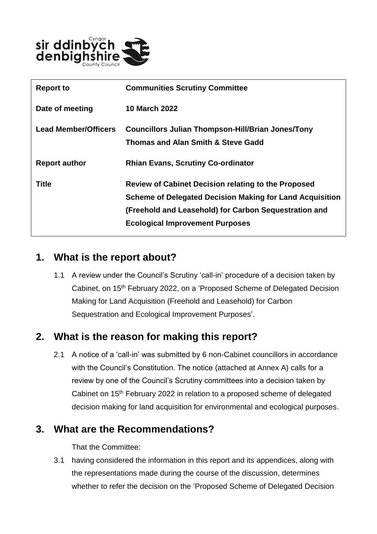

| <b>Report to</b>            | <b>Communities Scrutiny Committee</b>                           |
|-----------------------------|-----------------------------------------------------------------|
| Date of meeting             | <b>10 March 2022</b>                                            |
| <b>Lead Member/Officers</b> | <b>Councillors Julian Thompson-Hill/Brian Jones/Tony</b>        |
|                             | <b>Thomas and Alan Smith &amp; Steve Gadd</b>                   |
| <b>Report author</b>        | <b>Rhian Evans, Scrutiny Co-ordinator</b>                       |
| <b>Title</b>                | <b>Review of Cabinet Decision relating to the Proposed</b>      |
|                             | <b>Scheme of Delegated Decision Making for Land Acquisition</b> |
|                             | (Freehold and Leasehold) for Carbon Sequestration and           |
|                             | <b>Ecological Improvement Purposes</b>                          |

## **1. What is the report about?**

1.1 A review under the Council's Scrutiny 'call-in' procedure of a decision taken by Cabinet, on 15<sup>th</sup> February 2022, on a 'Proposed Scheme of Delegated Decision Making for Land Acquisition (Freehold and Leasehold) for Carbon Sequestration and Ecological Improvement Purposes'.

## **2. What is the reason for making this report?**

2.1 A notice of a 'call-in' was submitted by 6 non-Cabinet councillors in accordance with the Council's Constitution. The notice (attached at Annex A) calls for a review by one of the Council's Scrutiny committees into a decision taken by Cabinet on 15<sup>th</sup> February 2022 in relation to a proposed scheme of delegated decision making for land acquisition for environmental and ecological purposes.

#### **3. What are the Recommendations?**

That the Committee:

3.1 having considered the information in this report and its appendices, along with the representations made during the course of the discussion, determines whether to refer the decision on the 'Proposed Scheme of Delegated Decision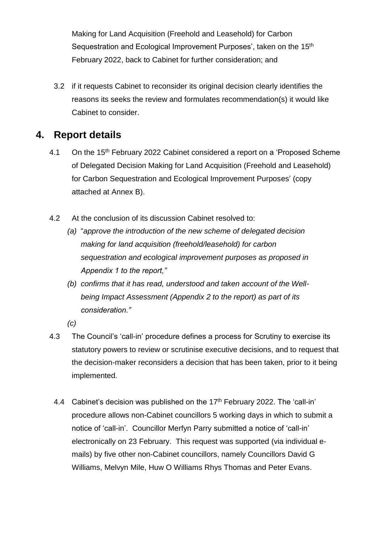Making for Land Acquisition (Freehold and Leasehold) for Carbon Sequestration and Ecological Improvement Purposes', taken on the 15<sup>th</sup> February 2022, back to Cabinet for further consideration; and

3.2 if it requests Cabinet to reconsider its original decision clearly identifies the reasons its seeks the review and formulates recommendation(s) it would like Cabinet to consider.

#### **4. Report details**

- 4.1 On the 15<sup>th</sup> February 2022 Cabinet considered a report on a 'Proposed Scheme' of Delegated Decision Making for Land Acquisition (Freehold and Leasehold) for Carbon Sequestration and Ecological Improvement Purposes' (copy attached at Annex B).
- 4.2 At the conclusion of its discussion Cabinet resolved to:
	- *(a)* "*approve the introduction of the new scheme of delegated decision making for land acquisition (freehold/leasehold) for carbon sequestration and ecological improvement purposes as proposed in Appendix 1 to the report,"*
	- *(b) confirms that it has read, understood and taken account of the Wellbeing Impact Assessment (Appendix 2 to the report) as part of its consideration."*
	- *(c)*
- 4.3 The Council's 'call-in' procedure defines a process for Scrutiny to exercise its statutory powers to review or scrutinise executive decisions, and to request that the decision-maker reconsiders a decision that has been taken, prior to it being implemented.
	- 4.4 Cabinet's decision was published on the 17<sup>th</sup> February 2022. The 'call-in' procedure allows non-Cabinet councillors 5 working days in which to submit a notice of 'call-in'. Councillor Merfyn Parry submitted a notice of 'call-in' electronically on 23 February. This request was supported (via individual emails) by five other non-Cabinet councillors, namely Councillors David G Williams, Melvyn Mile, Huw O Williams Rhys Thomas and Peter Evans.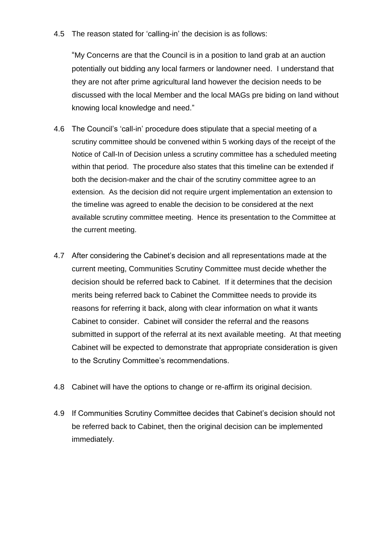4.5 The reason stated for 'calling-in' the decision is as follows:

"My Concerns are that the Council is in a position to land grab at an auction potentially out bidding any local farmers or landowner need. I understand that they are not after prime agricultural land however the decision needs to be discussed with the local Member and the local MAGs pre biding on land without knowing local knowledge and need."

- 4.6 The Council's 'call-in' procedure does stipulate that a special meeting of a scrutiny committee should be convened within 5 working days of the receipt of the Notice of Call-In of Decision unless a scrutiny committee has a scheduled meeting within that period. The procedure also states that this timeline can be extended if both the decision-maker and the chair of the scrutiny committee agree to an extension. As the decision did not require urgent implementation an extension to the timeline was agreed to enable the decision to be considered at the next available scrutiny committee meeting. Hence its presentation to the Committee at the current meeting.
- 4.7 After considering the Cabinet's decision and all representations made at the current meeting, Communities Scrutiny Committee must decide whether the decision should be referred back to Cabinet. If it determines that the decision merits being referred back to Cabinet the Committee needs to provide its reasons for referring it back, along with clear information on what it wants Cabinet to consider. Cabinet will consider the referral and the reasons submitted in support of the referral at its next available meeting. At that meeting Cabinet will be expected to demonstrate that appropriate consideration is given to the Scrutiny Committee's recommendations.
- 4.8 Cabinet will have the options to change or re-affirm its original decision.
- 4.9 If Communities Scrutiny Committee decides that Cabinet's decision should not be referred back to Cabinet, then the original decision can be implemented immediately.